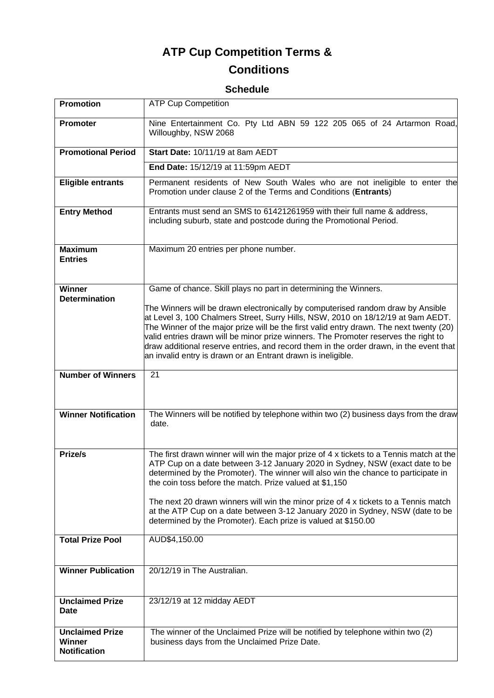# **ATP Cup Competition Terms &**

# **Conditions**

## **Schedule**

| <b>Promotion</b>                                               | <b>ATP Cup Competition</b>                                                                                                                                                                                                                                                                                                                                                                                                                                                                                                                                        |
|----------------------------------------------------------------|-------------------------------------------------------------------------------------------------------------------------------------------------------------------------------------------------------------------------------------------------------------------------------------------------------------------------------------------------------------------------------------------------------------------------------------------------------------------------------------------------------------------------------------------------------------------|
| Promoter                                                       | Nine Entertainment Co. Pty Ltd ABN 59 122 205 065 of 24 Artarmon Road,<br>Willoughby, NSW 2068                                                                                                                                                                                                                                                                                                                                                                                                                                                                    |
| <b>Promotional Period</b>                                      | Start Date: 10/11/19 at 8am AEDT                                                                                                                                                                                                                                                                                                                                                                                                                                                                                                                                  |
|                                                                | End Date: 15/12/19 at 11:59pm AEDT                                                                                                                                                                                                                                                                                                                                                                                                                                                                                                                                |
| <b>Eligible entrants</b>                                       | Permanent residents of New South Wales who are not ineligible to enter the<br>Promotion under clause 2 of the Terms and Conditions (Entrants)                                                                                                                                                                                                                                                                                                                                                                                                                     |
| <b>Entry Method</b>                                            | Entrants must send an SMS to 61421261959 with their full name & address,<br>including suburb, state and postcode during the Promotional Period.                                                                                                                                                                                                                                                                                                                                                                                                                   |
| <b>Maximum</b><br><b>Entries</b>                               | Maximum 20 entries per phone number.                                                                                                                                                                                                                                                                                                                                                                                                                                                                                                                              |
| <b>Winner</b>                                                  | Game of chance. Skill plays no part in determining the Winners.                                                                                                                                                                                                                                                                                                                                                                                                                                                                                                   |
| <b>Determination</b>                                           | The Winners will be drawn electronically by computerised random draw by Ansible<br>at Level 3, 100 Chalmers Street, Surry Hills, NSW, 2010 on 18/12/19 at 9am AEDT.<br>The Winner of the major prize will be the first valid entry drawn. The next twenty (20)<br>valid entries drawn will be minor prize winners. The Promoter reserves the right to<br>draw additional reserve entries, and record them in the order drawn, in the event that<br>an invalid entry is drawn or an Entrant drawn is ineligible.                                                   |
| <b>Number of Winners</b>                                       | 21                                                                                                                                                                                                                                                                                                                                                                                                                                                                                                                                                                |
| <b>Winner Notification</b>                                     | The Winners will be notified by telephone within two (2) business days from the draw<br>date.                                                                                                                                                                                                                                                                                                                                                                                                                                                                     |
| Prize/s                                                        | The first drawn winner will win the major prize of 4 x tickets to a Tennis match at the<br>ATP Cup on a date between 3-12 January 2020 in Sydney, NSW (exact date to be<br>determined by the Promoter). The winner will also win the chance to participate in<br>the coin toss before the match. Prize valued at \$1,150<br>The next 20 drawn winners will win the minor prize of 4 x tickets to a Tennis match<br>at the ATP Cup on a date between 3-12 January 2020 in Sydney, NSW (date to be<br>determined by the Promoter). Each prize is valued at \$150.00 |
| <b>Total Prize Pool</b>                                        | AUD\$4,150.00                                                                                                                                                                                                                                                                                                                                                                                                                                                                                                                                                     |
| <b>Winner Publication</b>                                      | 20/12/19 in The Australian.                                                                                                                                                                                                                                                                                                                                                                                                                                                                                                                                       |
| <b>Unclaimed Prize</b><br>Date                                 | 23/12/19 at 12 midday AEDT                                                                                                                                                                                                                                                                                                                                                                                                                                                                                                                                        |
| <b>Unclaimed Prize</b><br><b>Winner</b><br><b>Notification</b> | The winner of the Unclaimed Prize will be notified by telephone within two (2)<br>business days from the Unclaimed Prize Date.                                                                                                                                                                                                                                                                                                                                                                                                                                    |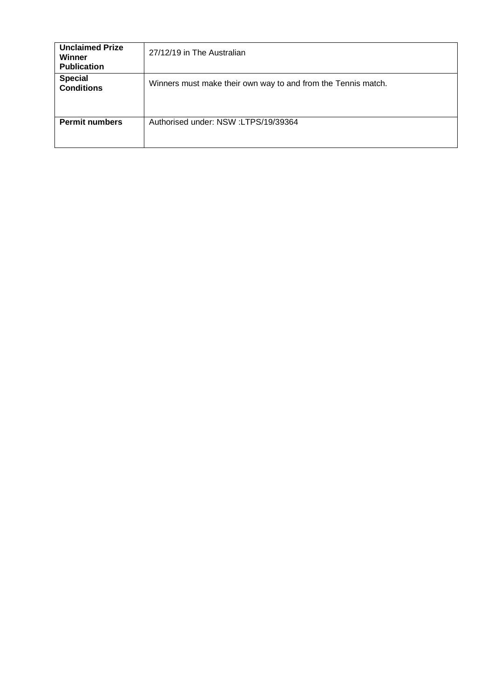| <b>Unclaimed Prize</b><br>Winner<br><b>Publication</b> | 27/12/19 in The Australian                                    |
|--------------------------------------------------------|---------------------------------------------------------------|
| <b>Special</b><br><b>Conditions</b>                    | Winners must make their own way to and from the Tennis match. |
| <b>Permit numbers</b>                                  | Authorised under: NSW:LTPS/19/39364                           |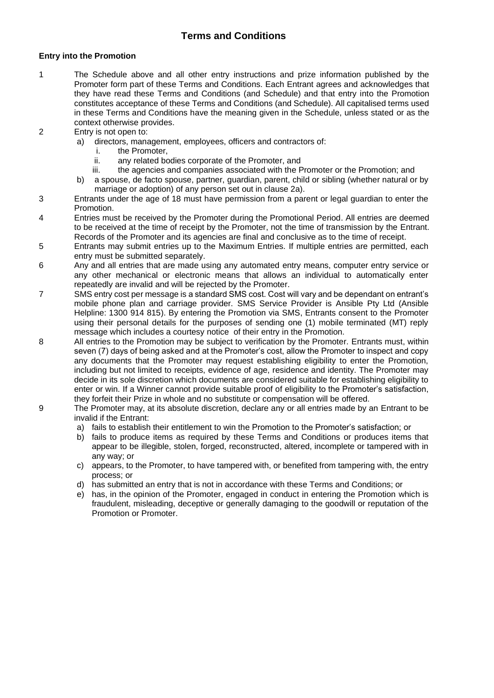### **Terms and Conditions**

#### **Entry into the Promotion**

- 1 The Schedule above and all other entry instructions and prize information published by the Promoter form part of these Terms and Conditions. Each Entrant agrees and acknowledges that they have read these Terms and Conditions (and Schedule) and that entry into the Promotion constitutes acceptance of these Terms and Conditions (and Schedule). All capitalised terms used in these Terms and Conditions have the meaning given in the Schedule, unless stated or as the context otherwise provides.
- 2 Entry is not open to:
	- a) directors, management, employees, officers and contractors of:
		- i. the Promoter,
		- ii. any related bodies corporate of the Promoter, and
		- iii. the agencies and companies associated with the Promoter or the Promotion; and
	- b) a spouse, de facto spouse, partner, guardian, parent, child or sibling (whether natural or by marriage or adoption) of any person set out in clause 2a).
- 3 Entrants under the age of 18 must have permission from a parent or legal guardian to enter the Promotion.
- 4 Entries must be received by the Promoter during the Promotional Period. All entries are deemed to be received at the time of receipt by the Promoter, not the time of transmission by the Entrant. Records of the Promoter and its agencies are final and conclusive as to the time of receipt.
- 5 Entrants may submit entries up to the Maximum Entries. If multiple entries are permitted, each entry must be submitted separately.
- 6 Any and all entries that are made using any automated entry means, computer entry service or any other mechanical or electronic means that allows an individual to automatically enter repeatedly are invalid and will be rejected by the Promoter.
- 7 SMS entry cost per message is a standard SMS cost. Cost will vary and be dependant on entrant's mobile phone plan and carriage provider. SMS Service Provider is Ansible Pty Ltd (Ansible Helpline: 1300 914 815). By entering the Promotion via SMS, Entrants consent to the Promoter using their personal details for the purposes of sending one (1) mobile terminated (MT) reply message which includes a courtesy notice of their entry in the Promotion.
- 8 All entries to the Promotion may be subject to verification by the Promoter. Entrants must, within seven (7) days of being asked and at the Promoter's cost, allow the Promoter to inspect and copy any documents that the Promoter may request establishing eligibility to enter the Promotion, including but not limited to receipts, evidence of age, residence and identity. The Promoter may decide in its sole discretion which documents are considered suitable for establishing eligibility to enter or win. If a Winner cannot provide suitable proof of eligibility to the Promoter's satisfaction, they forfeit their Prize in whole and no substitute or compensation will be offered.
- 9 The Promoter may, at its absolute discretion, declare any or all entries made by an Entrant to be invalid if the Entrant:
	- a) fails to establish their entitlement to win the Promotion to the Promoter's satisfaction; or
	- b) fails to produce items as required by these Terms and Conditions or produces items that appear to be illegible, stolen, forged, reconstructed, altered, incomplete or tampered with in any way; or
	- c) appears, to the Promoter, to have tampered with, or benefited from tampering with, the entry process; or
	- d) has submitted an entry that is not in accordance with these Terms and Conditions; or
	- e) has, in the opinion of the Promoter, engaged in conduct in entering the Promotion which is fraudulent, misleading, deceptive or generally damaging to the goodwill or reputation of the Promotion or Promoter.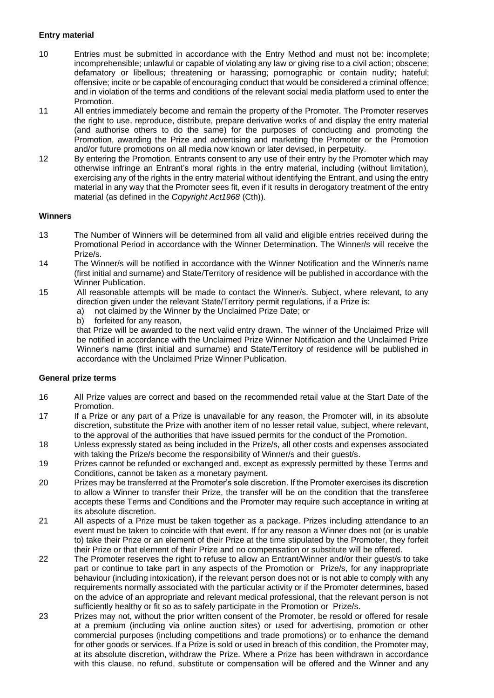#### **Entry material**

- 10 Entries must be submitted in accordance with the Entry Method and must not be: incomplete; incomprehensible; unlawful or capable of violating any law or giving rise to a civil action; obscene; defamatory or libellous; threatening or harassing; pornographic or contain nudity; hateful; offensive; incite or be capable of encouraging conduct that would be considered a criminal offence; and in violation of the terms and conditions of the relevant social media platform used to enter the Promotion.
- 11 All entries immediately become and remain the property of the Promoter. The Promoter reserves the right to use, reproduce, distribute, prepare derivative works of and display the entry material (and authorise others to do the same) for the purposes of conducting and promoting the Promotion, awarding the Prize and advertising and marketing the Promoter or the Promotion and/or future promotions on all media now known or later devised, in perpetuity.
- 12 By entering the Promotion, Entrants consent to any use of their entry by the Promoter which may otherwise infringe an Entrant's moral rights in the entry material, including (without limitation), exercising any of the rights in the entry material without identifying the Entrant, and using the entry material in any way that the Promoter sees fit, even if it results in derogatory treatment of the entry material (as defined in the *Copyright Act1968* (Cth)).

#### **Winners**

- 13 The Number of Winners will be determined from all valid and eligible entries received during the Promotional Period in accordance with the Winner Determination. The Winner/s will receive the Prize/s.
- 14 The Winner/s will be notified in accordance with the Winner Notification and the Winner/s name (first initial and surname) and State/Territory of residence will be published in accordance with the Winner Publication.
- 15 All reasonable attempts will be made to contact the Winner/s. Subject, where relevant, to any direction given under the relevant State/Territory permit regulations, if a Prize is:
	- a) not claimed by the Winner by the Unclaimed Prize Date; or
	- b) forfeited for any reason,

that Prize will be awarded to the next valid entry drawn. The winner of the Unclaimed Prize will be notified in accordance with the Unclaimed Prize Winner Notification and the Unclaimed Prize Winner's name (first initial and surname) and State/Territory of residence will be published in accordance with the Unclaimed Prize Winner Publication.

#### **General prize terms**

- 16 All Prize values are correct and based on the recommended retail value at the Start Date of the Promotion.
- 17 If a Prize or any part of a Prize is unavailable for any reason, the Promoter will, in its absolute discretion, substitute the Prize with another item of no lesser retail value, subject, where relevant, to the approval of the authorities that have issued permits for the conduct of the Promotion.
- 18 Unless expressly stated as being included in the Prize/s, all other costs and expenses associated with taking the Prize/s become the responsibility of Winner/s and their guest/s.
- 19 Prizes cannot be refunded or exchanged and, except as expressly permitted by these Terms and Conditions, cannot be taken as a monetary payment.
- 20 Prizes may be transferred at the Promoter's sole discretion. If the Promoter exercises its discretion to allow a Winner to transfer their Prize, the transfer will be on the condition that the transferee accepts these Terms and Conditions and the Promoter may require such acceptance in writing at its absolute discretion.
- 21 All aspects of a Prize must be taken together as a package. Prizes including attendance to an event must be taken to coincide with that event. If for any reason a Winner does not (or is unable to) take their Prize or an element of their Prize at the time stipulated by the Promoter, they forfeit their Prize or that element of their Prize and no compensation or substitute will be offered.
- 22 The Promoter reserves the right to refuse to allow an Entrant/Winner and/or their guest/s to take part or continue to take part in any aspects of the Promotion or Prize/s, for any inappropriate behaviour (including intoxication), if the relevant person does not or is not able to comply with any requirements normally associated with the particular activity or if the Promoter determines, based on the advice of an appropriate and relevant medical professional, that the relevant person is not sufficiently healthy or fit so as to safely participate in the Promotion or Prize/s.
- 23 Prizes may not, without the prior written consent of the Promoter, be resold or offered for resale at a premium (including via online auction sites) or used for advertising, promotion or other commercial purposes (including competitions and trade promotions) or to enhance the demand for other goods or services. If a Prize is sold or used in breach of this condition, the Promoter may, at its absolute discretion, withdraw the Prize. Where a Prize has been withdrawn in accordance with this clause, no refund, substitute or compensation will be offered and the Winner and any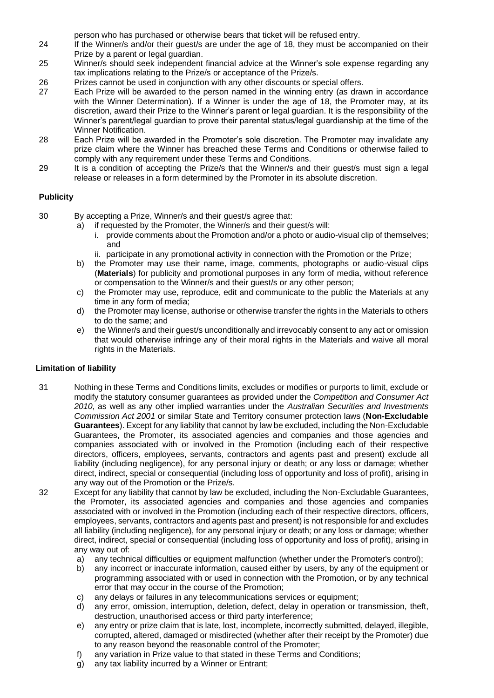person who has purchased or otherwise bears that ticket will be refused entry.

- 24 If the Winner/s and/or their guest/s are under the age of 18, they must be accompanied on their Prize by a parent or legal guardian.
- 25 Winner/s should seek independent financial advice at the Winner's sole expense regarding any tax implications relating to the Prize/s or acceptance of the Prize/s.
- 26 Prizes cannot be used in conjunction with any other discounts or special offers.
- 27 Each Prize will be awarded to the person named in the winning entry (as drawn in accordance with the Winner Determination). If a Winner is under the age of 18, the Promoter may, at its discretion, award their Prize to the Winner's parent or legal guardian. It is the responsibility of the Winner's parent/legal guardian to prove their parental status/legal guardianship at the time of the Winner Notification.
- 28 Each Prize will be awarded in the Promoter's sole discretion. The Promoter may invalidate any prize claim where the Winner has breached these Terms and Conditions or otherwise failed to comply with any requirement under these Terms and Conditions.
- 29 It is a condition of accepting the Prize/s that the Winner/s and their guest/s must sign a legal release or releases in a form determined by the Promoter in its absolute discretion.

#### **Publicity**

- 30 By accepting a Prize, Winner/s and their guest/s agree that:
	- a) if requested by the Promoter, the Winner/s and their guest/s will:
		- i. provide comments about the Promotion and/or a photo or audio-visual clip of themselves; and
		- ii. participate in any promotional activity in connection with the Promotion or the Prize;
	- b) the Promoter may use their name, image, comments, photographs or audio-visual clips (**Materials**) for publicity and promotional purposes in any form of media, without reference or compensation to the Winner/s and their guest/s or any other person;
	- c) the Promoter may use, reproduce, edit and communicate to the public the Materials at any time in any form of media;
	- d) the Promoter may license, authorise or otherwise transfer the rights in the Materials to others to do the same; and
	- e) the Winner/s and their guest/s unconditionally and irrevocably consent to any act or omission that would otherwise infringe any of their moral rights in the Materials and waive all moral rights in the Materials.

#### **Limitation of liability**

- 31 Nothing in these Terms and Conditions limits, excludes or modifies or purports to limit, exclude or modify the statutory consumer guarantees as provided under the *Competition and Consumer Act 2010*, as well as any other implied warranties under the *Australian Securities and Investments Commission Act 2001* or similar State and Territory consumer protection laws (**Non-Excludable Guarantees**). Except for any liability that cannot by law be excluded, including the Non-Excludable Guarantees, the Promoter, its associated agencies and companies and those agencies and companies associated with or involved in the Promotion (including each of their respective directors, officers, employees, servants, contractors and agents past and present) exclude all liability (including negligence), for any personal injury or death; or any loss or damage; whether direct, indirect, special or consequential (including loss of opportunity and loss of profit), arising in any way out of the Promotion or the Prize/s.
- 32 Except for any liability that cannot by law be excluded, including the Non-Excludable Guarantees, the Promoter, its associated agencies and companies and those agencies and companies associated with or involved in the Promotion (including each of their respective directors, officers, employees, servants, contractors and agents past and present) is not responsible for and excludes all liability (including negligence), for any personal injury or death; or any loss or damage; whether direct, indirect, special or consequential (including loss of opportunity and loss of profit), arising in any way out of:
	- a) any technical difficulties or equipment malfunction (whether under the Promoter's control);
	- b) any incorrect or inaccurate information, caused either by users, by any of the equipment or programming associated with or used in connection with the Promotion, or by any technical error that may occur in the course of the Promotion;
	- c) any delays or failures in any telecommunications services or equipment;
	- d) any error, omission, interruption, deletion, defect, delay in operation or transmission, theft, destruction, unauthorised access or third party interference;
	- e) any entry or prize claim that is late, lost, incomplete, incorrectly submitted, delayed, illegible, corrupted, altered, damaged or misdirected (whether after their receipt by the Promoter) due to any reason beyond the reasonable control of the Promoter;
	- f) any variation in Prize value to that stated in these Terms and Conditions;
	- g) any tax liability incurred by a Winner or Entrant;